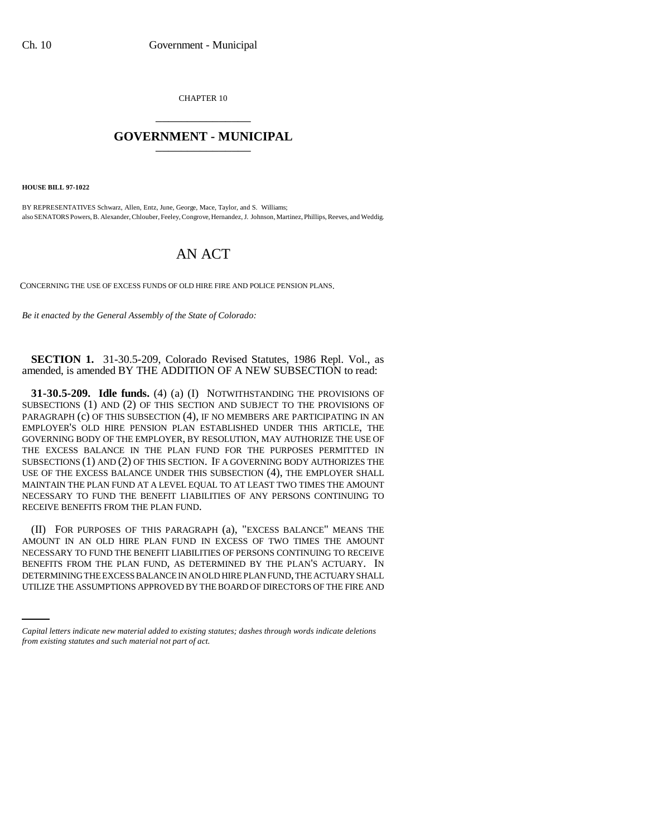CHAPTER 10 \_\_\_\_\_\_\_\_\_\_\_\_\_\_\_

## **GOVERNMENT - MUNICIPAL** \_\_\_\_\_\_\_\_\_\_\_\_\_\_\_

**HOUSE BILL 97-1022**

BY REPRESENTATIVES Schwarz, Allen, Entz, June, George, Mace, Taylor, and S. Williams; also SENATORS Powers, B. Alexander, Chlouber, Feeley, Congrove, Hernandez, J. Johnson, Martinez, Phillips, Reeves, and Weddig.

## AN ACT

CONCERNING THE USE OF EXCESS FUNDS OF OLD HIRE FIRE AND POLICE PENSION PLANS.

*Be it enacted by the General Assembly of the State of Colorado:*

**SECTION 1.** 31-30.5-209, Colorado Revised Statutes, 1986 Repl. Vol., as amended, is amended BY THE ADDITION OF A NEW SUBSECTION to read:

**31-30.5-209. Idle funds.** (4) (a) (I) NOTWITHSTANDING THE PROVISIONS OF SUBSECTIONS (1) AND (2) OF THIS SECTION AND SUBJECT TO THE PROVISIONS OF PARAGRAPH (c) OF THIS SUBSECTION (4), IF NO MEMBERS ARE PARTICIPATING IN AN EMPLOYER'S OLD HIRE PENSION PLAN ESTABLISHED UNDER THIS ARTICLE, THE GOVERNING BODY OF THE EMPLOYER, BY RESOLUTION, MAY AUTHORIZE THE USE OF THE EXCESS BALANCE IN THE PLAN FUND FOR THE PURPOSES PERMITTED IN SUBSECTIONS (1) AND (2) OF THIS SECTION. IF A GOVERNING BODY AUTHORIZES THE USE OF THE EXCESS BALANCE UNDER THIS SUBSECTION (4), THE EMPLOYER SHALL MAINTAIN THE PLAN FUND AT A LEVEL EQUAL TO AT LEAST TWO TIMES THE AMOUNT NECESSARY TO FUND THE BENEFIT LIABILITIES OF ANY PERSONS CONTINUING TO RECEIVE BENEFITS FROM THE PLAN FUND.

BENEFITS FROM THE PLAN FUND, AS DETERMINED BY THE PLAN'S ACTUARY. IN (II) FOR PURPOSES OF THIS PARAGRAPH (a), "EXCESS BALANCE" MEANS THE AMOUNT IN AN OLD HIRE PLAN FUND IN EXCESS OF TWO TIMES THE AMOUNT NECESSARY TO FUND THE BENEFIT LIABILITIES OF PERSONS CONTINUING TO RECEIVE DETERMINING THE EXCESS BALANCE IN AN OLD HIRE PLAN FUND, THE ACTUARY SHALL UTILIZE THE ASSUMPTIONS APPROVED BY THE BOARD OF DIRECTORS OF THE FIRE AND

*Capital letters indicate new material added to existing statutes; dashes through words indicate deletions from existing statutes and such material not part of act.*